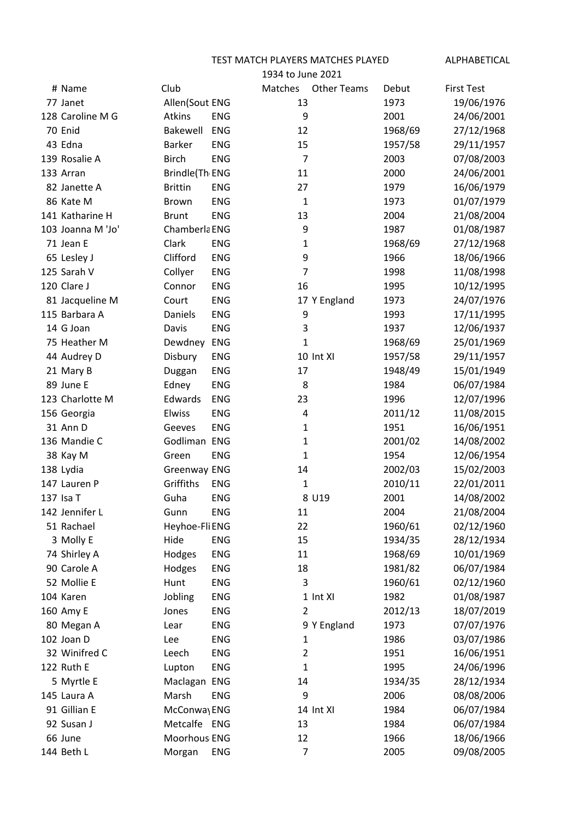TEST MATCH PLAYERS MATCHES PLAYED ALPHABETICAL

|                   | 1934 to June 2021 |            |                |                    |         |                   |
|-------------------|-------------------|------------|----------------|--------------------|---------|-------------------|
| # Name            | Club              |            | Matches        | <b>Other Teams</b> | Debut   | <b>First Test</b> |
| 77 Janet          | Allen(Sout ENG    |            | 13             |                    | 1973    | 19/06/1976        |
| 128 Caroline M G  | Atkins            | <b>ENG</b> | 9              |                    | 2001    | 24/06/2001        |
| 70 Enid           | Bakewell          | <b>ENG</b> | 12             |                    | 1968/69 | 27/12/1968        |
| 43 Edna           | <b>Barker</b>     | <b>ENG</b> | 15             |                    | 1957/58 | 29/11/1957        |
| 139 Rosalie A     | <b>Birch</b>      | <b>ENG</b> | $\overline{7}$ |                    | 2003    | 07/08/2003        |
| 133 Arran         | Brindle(Th ENG    |            | 11             |                    | 2000    | 24/06/2001        |
| 82 Janette A      | <b>Brittin</b>    | <b>ENG</b> | 27             |                    | 1979    | 16/06/1979        |
| 86 Kate M         | Brown             | <b>ENG</b> | 1              |                    | 1973    | 01/07/1979        |
| 141 Katharine H   | <b>Brunt</b>      | <b>ENG</b> | 13             |                    | 2004    | 21/08/2004        |
| 103 Joanna M 'Jo' | Chamberla ENG     |            | 9              |                    | 1987    | 01/08/1987        |
| 71 Jean E         | Clark             | <b>ENG</b> | 1              |                    | 1968/69 | 27/12/1968        |
| 65 Lesley J       | Clifford          | <b>ENG</b> | 9              |                    | 1966    | 18/06/1966        |
| 125 Sarah V       | Collyer           | ENG        | 7              |                    | 1998    | 11/08/1998        |
| 120 Clare J       | Connor            | <b>ENG</b> | 16             |                    | 1995    | 10/12/1995        |
| 81 Jacqueline M   | Court             | ENG        |                | 17 Y England       | 1973    | 24/07/1976        |
| 115 Barbara A     | Daniels           | <b>ENG</b> | 9              |                    | 1993    | 17/11/1995        |
| 14 G Joan         | Davis             | <b>ENG</b> | 3              |                    | 1937    | 12/06/1937        |
| 75 Heather M      | Dewdney           | <b>ENG</b> | 1              |                    | 1968/69 | 25/01/1969        |
| 44 Audrey D       | Disbury           | <b>ENG</b> |                | 10 Int XI          | 1957/58 | 29/11/1957        |
| 21 Mary B         | Duggan            | ENG        | 17             |                    | 1948/49 | 15/01/1949        |
| 89 June E         | Edney             | ENG        | 8              |                    | 1984    | 06/07/1984        |
| 123 Charlotte M   | Edwards           | <b>ENG</b> | 23             |                    | 1996    | 12/07/1996        |
| 156 Georgia       | Elwiss            | <b>ENG</b> | 4              |                    | 2011/12 | 11/08/2015        |
| 31 Ann D          | Geeves            | <b>ENG</b> | 1              |                    | 1951    | 16/06/1951        |
| 136 Mandie C      | Godliman ENG      |            | 1              |                    | 2001/02 | 14/08/2002        |
| 38 Kay M          | Green             | <b>ENG</b> | 1              |                    | 1954    | 12/06/1954        |
| 138 Lydia         | Greenway ENG      |            | 14             |                    | 2002/03 | 15/02/2003        |
| 147 Lauren P      | Griffiths         | <b>ENG</b> | 1              |                    | 2010/11 | 22/01/2011        |
| 137 Isa T         | Guha              | <b>ENG</b> |                | 8 U19              | 2001    | 14/08/2002        |
| 142 Jennifer L    | Gunn              | ENG        | 11             |                    | 2004    | 21/08/2004        |
| 51 Rachael        | Heyhoe-Fli ENG    |            | 22             |                    | 1960/61 | 02/12/1960        |
| 3 Molly E         | Hide              | ENG        | 15             |                    | 1934/35 | 28/12/1934        |
| 74 Shirley A      | Hodges            | ENG        | 11             |                    | 1968/69 | 10/01/1969        |
| 90 Carole A       | Hodges            | ENG        | 18             |                    | 1981/82 | 06/07/1984        |
| 52 Mollie E       | Hunt              | ENG        | 3              |                    | 1960/61 | 02/12/1960        |
| 104 Karen         | Jobling           | ENG        |                | 1 Int XI           | 1982    | 01/08/1987        |
| 160 Amy E         | Jones             | ENG        | $\overline{2}$ |                    | 2012/13 | 18/07/2019        |
| 80 Megan A        | Lear              | ENG        |                | 9 Y England        | 1973    | 07/07/1976        |
| 102 Joan D        | Lee               | ENG        | $\mathbf 1$    |                    | 1986    | 03/07/1986        |
| 32 Winifred C     | Leech             | ENG        | $\overline{2}$ |                    | 1951    | 16/06/1951        |
| 122 Ruth E        | Lupton            | ENG        | 1              |                    | 1995    | 24/06/1996        |
| 5 Myrtle E        | Maclagan ENG      |            | 14             |                    | 1934/35 | 28/12/1934        |
| 145 Laura A       | Marsh             | ENG        | 9              |                    | 2006    | 08/08/2006        |
| 91 Gillian E      | McConway ENG      |            |                | 14 Int XI          | 1984    | 06/07/1984        |
| 92 Susan J        | Metcalfe ENG      |            | 13             |                    | 1984    | 06/07/1984        |
| 66 June           | Moorhous ENG      |            | 12             |                    | 1966    | 18/06/1966        |
| 144 Beth L        | Morgan            | ENG        | 7              |                    | 2005    | 09/08/2005        |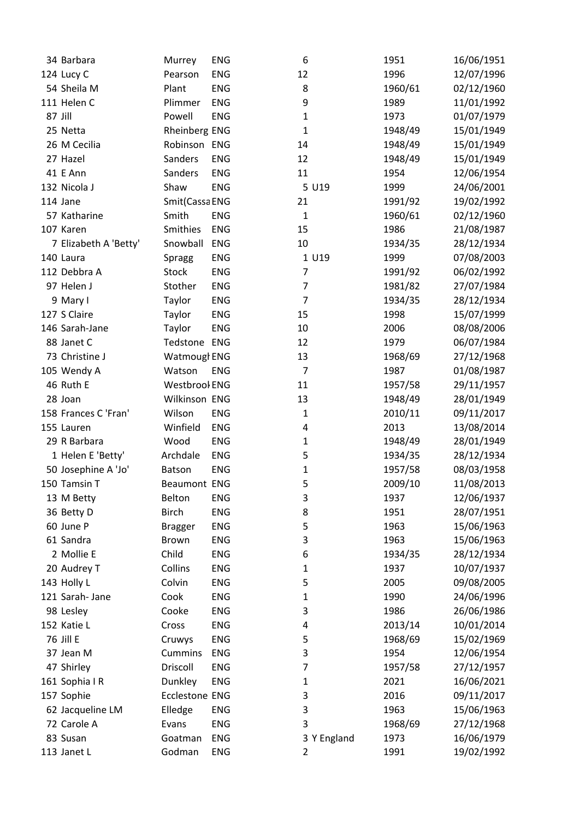| 34 Barbara            | Murrey              | <b>ENG</b> | 6              |             | 1951    | 16/06/1951 |
|-----------------------|---------------------|------------|----------------|-------------|---------|------------|
| 124 Lucy C            | Pearson             | <b>ENG</b> | 12             |             | 1996    | 12/07/1996 |
| 54 Sheila M           | Plant               | ENG        | 8              |             | 1960/61 | 02/12/1960 |
| 111 Helen C           | Plimmer             | <b>ENG</b> | 9              |             | 1989    | 11/01/1992 |
| 87 Jill               | Powell              | <b>ENG</b> | $\mathbf{1}$   |             | 1973    | 01/07/1979 |
| 25 Netta              | Rheinberg ENG       |            | $\mathbf{1}$   |             | 1948/49 | 15/01/1949 |
| 26 M Cecilia          | Robinson ENG        |            | 14             |             | 1948/49 | 15/01/1949 |
| 27 Hazel              | Sanders             | <b>ENG</b> | 12             |             | 1948/49 | 15/01/1949 |
| 41 E Ann              | Sanders             | <b>ENG</b> | 11             |             | 1954    | 12/06/1954 |
| 132 Nicola J          | Shaw                | <b>ENG</b> |                | 5 U19       | 1999    | 24/06/2001 |
| 114 Jane              | Smit(Cassa ENG      |            | 21             |             | 1991/92 | 19/02/1992 |
| 57 Katharine          | Smith               | <b>ENG</b> | $\mathbf{1}$   |             | 1960/61 | 02/12/1960 |
| 107 Karen             | Smithies            | <b>ENG</b> | 15             |             | 1986    | 21/08/1987 |
| 7 Elizabeth A 'Betty' | Snowball            | <b>ENG</b> | 10             |             | 1934/35 | 28/12/1934 |
| 140 Laura             | <b>Spragg</b>       | <b>ENG</b> |                | 1 U19       | 1999    | 07/08/2003 |
| 112 Debbra A          | Stock               | ENG        | $\overline{7}$ |             | 1991/92 | 06/02/1992 |
| 97 Helen J            | Stother             | <b>ENG</b> | 7              |             | 1981/82 | 27/07/1984 |
| 9 Mary I              | Taylor              | ENG        | $\overline{7}$ |             | 1934/35 | 28/12/1934 |
| 127 S Claire          | Taylor              | ENG        | 15             |             | 1998    | 15/07/1999 |
| 146 Sarah-Jane        | Taylor              | <b>ENG</b> | 10             |             | 2006    | 08/08/2006 |
| 88 Janet C            | Tedstone ENG        |            | 12             |             | 1979    | 06/07/1984 |
| 73 Christine J        | Watmougl ENG        |            | 13             |             | 1968/69 | 27/12/1968 |
| 105 Wendy A           | Watson              | <b>ENG</b> | $\overline{7}$ |             | 1987    | 01/08/1987 |
| 46 Ruth E             | Westbrool ENG       |            | 11             |             | 1957/58 | 29/11/1957 |
| 28 Joan               | Wilkinson ENG       |            | 13             |             | 1948/49 | 28/01/1949 |
| 158 Frances C 'Fran'  | Wilson              | <b>ENG</b> | $\mathbf 1$    |             | 2010/11 | 09/11/2017 |
| 155 Lauren            | Winfield            | <b>ENG</b> | 4              |             | 2013    | 13/08/2014 |
| 29 R Barbara          | Wood                | ENG        | 1              |             | 1948/49 | 28/01/1949 |
| 1 Helen E 'Betty'     | Archdale            | <b>ENG</b> | 5              |             | 1934/35 | 28/12/1934 |
| 50 Josephine A 'Jo'   | Batson              | <b>ENG</b> | $\mathbf{1}$   |             | 1957/58 | 08/03/1958 |
| 150 Tamsin T          | <b>Beaumont ENG</b> |            | 5              |             | 2009/10 | 11/08/2013 |
| 13 M Betty            | Belton              | ENG        | 3              |             | 1937    | 12/06/1937 |
| 36 Betty D            | <b>Birch</b>        | ENG        | 8              |             | 1951    | 28/07/1951 |
| 60 June P             | <b>Bragger</b>      | <b>ENG</b> | 5              |             | 1963    | 15/06/1963 |
| 61 Sandra             | <b>Brown</b>        | ENG        | 3              |             | 1963    | 15/06/1963 |
| 2 Mollie E            | Child               | <b>ENG</b> | 6              |             | 1934/35 | 28/12/1934 |
| 20 Audrey T           | Collins             | <b>ENG</b> | 1              |             | 1937    | 10/07/1937 |
| 143 Holly L           | Colvin              | ENG        | 5              |             | 2005    | 09/08/2005 |
| 121 Sarah- Jane       | Cook                | ENG        | 1              |             | 1990    | 24/06/1996 |
| 98 Lesley             | Cooke               | ENG        | 3              |             | 1986    | 26/06/1986 |
| 152 Katie L           | Cross               | ENG        | 4              |             | 2013/14 | 10/01/2014 |
| 76 Jill E             | Cruwys              | ENG        | 5              |             | 1968/69 | 15/02/1969 |
| 37 Jean M             | <b>Cummins</b>      | <b>ENG</b> | 3              |             | 1954    | 12/06/1954 |
| 47 Shirley            | Driscoll            | ENG        | 7              |             | 1957/58 | 27/12/1957 |
| 161 Sophia IR         | Dunkley             | ENG        | $\mathbf{1}$   |             | 2021    | 16/06/2021 |
| 157 Sophie            | Ecclestone ENG      |            | 3              |             | 2016    | 09/11/2017 |
| 62 Jacqueline LM      | Elledge             | <b>ENG</b> | 3              |             | 1963    | 15/06/1963 |
| 72 Carole A           | Evans               | ENG        | 3              |             | 1968/69 | 27/12/1968 |
| 83 Susan              | Goatman             | ENG        |                | 3 Y England | 1973    | 16/06/1979 |
| 113 Janet L           | Godman              | <b>ENG</b> | $\overline{2}$ |             | 1991    | 19/02/1992 |
|                       |                     |            |                |             |         |            |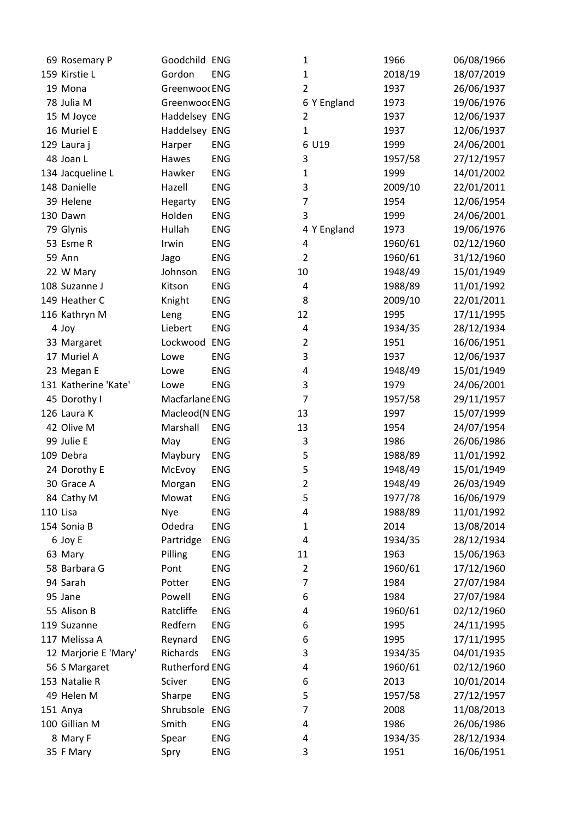|          | 69 Rosemary P        | Goodchild ENG  |            | 1              | 1966    | 06/08/1966 |
|----------|----------------------|----------------|------------|----------------|---------|------------|
|          | 159 Kirstie L        | Gordon         | <b>ENG</b> | 1              | 2018/19 | 18/07/2019 |
|          | 19 Mona              | Greenwoor ENG  |            | $\overline{2}$ | 1937    | 26/06/1937 |
|          | 78 Julia M           | Greenwoor ENG  |            | 6 Y England    | 1973    | 19/06/1976 |
|          | 15 M Joyce           | Haddelsey ENG  |            | $\overline{2}$ | 1937    | 12/06/1937 |
|          | 16 Muriel E          | Haddelsey ENG  |            | $\mathbf{1}$   | 1937    | 12/06/1937 |
|          | 129 Laura j          | Harper         | <b>ENG</b> | 6 U19          | 1999    | 24/06/2001 |
|          | 48 Joan L            | Hawes          | <b>ENG</b> | 3              | 1957/58 | 27/12/1957 |
|          | 134 Jacqueline L     | Hawker         | <b>ENG</b> | $\mathbf{1}$   | 1999    | 14/01/2002 |
|          | 148 Danielle         | Hazell         | <b>ENG</b> | 3              | 2009/10 | 22/01/2011 |
|          | 39 Helene            | Hegarty        | ENG        | $\overline{7}$ | 1954    | 12/06/1954 |
|          | 130 Dawn             | Holden         | <b>ENG</b> | 3              | 1999    | 24/06/2001 |
|          | 79 Glynis            | Hullah         | <b>ENG</b> | 4 Y England    | 1973    | 19/06/1976 |
|          | 53 Esme R            | Irwin          | ENG        | 4              | 1960/61 | 02/12/1960 |
|          | <b>59 Ann</b>        | Jago           | <b>ENG</b> | $\overline{2}$ | 1960/61 | 31/12/1960 |
|          | 22 W Mary            | Johnson        | <b>ENG</b> | 10             | 1948/49 | 15/01/1949 |
|          | 108 Suzanne J        | Kitson         | <b>ENG</b> | 4              | 1988/89 | 11/01/1992 |
|          | 149 Heather C        | Knight         | ENG        | 8              | 2009/10 | 22/01/2011 |
|          | 116 Kathryn M        | Leng           | ENG        | 12             | 1995    | 17/11/1995 |
|          | 4 Joy                | Liebert        | <b>ENG</b> | 4              | 1934/35 | 28/12/1934 |
|          | 33 Margaret          | Lockwood ENG   |            | 2              | 1951    | 16/06/1951 |
|          | 17 Muriel A          | Lowe           | <b>ENG</b> | 3              | 1937    | 12/06/1937 |
|          | 23 Megan E           | Lowe           | ENG        | 4              | 1948/49 | 15/01/1949 |
|          | 131 Katherine 'Kate' | Lowe           | <b>ENG</b> | 3              | 1979    | 24/06/2001 |
|          | 45 Dorothy I         | Macfarlane ENG |            | 7              | 1957/58 | 29/11/1957 |
|          | 126 Laura K          | Macleod(N ENG  |            | 13             | 1997    | 15/07/1999 |
|          | 42 Olive M           | Marshall       | <b>ENG</b> | 13             | 1954    | 24/07/1954 |
|          | 99 Julie E           | May            | <b>ENG</b> | 3              | 1986    | 26/06/1986 |
|          | 109 Debra            | Maybury        | <b>ENG</b> | 5              | 1988/89 | 11/01/1992 |
|          | 24 Dorothy E         | McEvoy         | ENG        | 5              | 1948/49 | 15/01/1949 |
|          | 30 Grace A           | Morgan         | <b>ENG</b> | 2              | 1948/49 | 26/03/1949 |
|          | 84 Cathy M           | Mowat          | ENG        | 5              | 1977/78 | 16/06/1979 |
| 110 Lisa |                      | Nye            | <b>ENG</b> | 4              | 1988/89 | 11/01/1992 |
|          | 154 Sonia B          | Odedra         | <b>ENG</b> | $\mathbf{1}$   | 2014    | 13/08/2014 |
|          | 6 Joy E              | Partridge      | ENG        | 4              | 1934/35 | 28/12/1934 |
|          | 63 Mary              | Pilling        | <b>ENG</b> | 11             | 1963    | 15/06/1963 |
|          | 58 Barbara G         | Pont           | <b>ENG</b> | 2              | 1960/61 | 17/12/1960 |
|          | 94 Sarah             | Potter         | <b>ENG</b> | 7              | 1984    | 27/07/1984 |
|          | 95 Jane              | Powell         | <b>ENG</b> | 6              | 1984    | 27/07/1984 |
|          | 55 Alison B          | Ratcliffe      | <b>ENG</b> | 4              | 1960/61 | 02/12/1960 |
|          | 119 Suzanne          | Redfern        | <b>ENG</b> | 6              | 1995    | 24/11/1995 |
|          | 117 Melissa A        | Reynard        | ENG        | 6              | 1995    | 17/11/1995 |
|          | 12 Marjorie E 'Mary' | Richards       | <b>ENG</b> | 3              | 1934/35 | 04/01/1935 |
|          | 56 S Margaret        | Rutherford ENG |            | 4              | 1960/61 | 02/12/1960 |
|          | 153 Natalie R        | Sciver         | <b>ENG</b> | 6              | 2013    | 10/01/2014 |
|          | 49 Helen M           | Sharpe         | <b>ENG</b> | 5              | 1957/58 | 27/12/1957 |
|          | 151 Anya             | Shrubsole      | <b>ENG</b> | 7              | 2008    | 11/08/2013 |
|          | 100 Gillian M        | Smith          | <b>ENG</b> | 4              | 1986    | 26/06/1986 |
|          | 8 Mary F             | Spear          | ENG        | 4              | 1934/35 | 28/12/1934 |
|          | 35 F Mary            | Spry           | ENG        | 3              | 1951    | 16/06/1951 |
|          |                      |                |            |                |         |            |